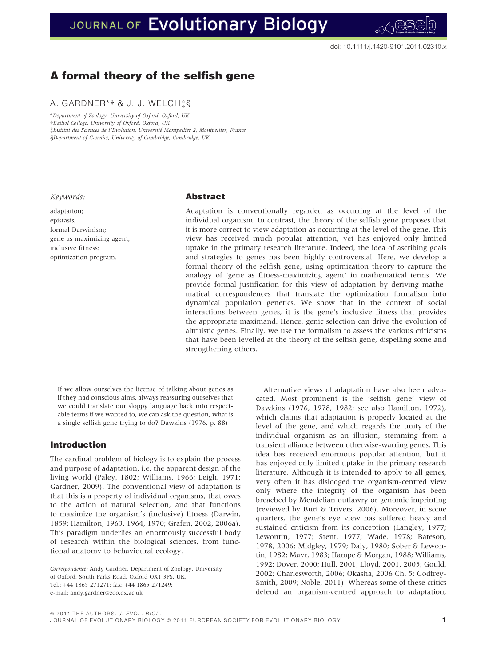# JOURNAL OF Evolutionary Biology

## A formal theory of the selfish gene

## A. GARDNER\*† & J. J. WELCH‡§

\*Department of Zoology, University of Oxford, Oxford, UK -Balliol College, University of Oxford, Oxford, UK Institut des Sciences de l'Evolution, Universite´ Montpellier 2, Montpellier, France §Department of Genetics, University of Cambridge, Cambridge, UK

## Keywords:

adaptation; epistasis; formal Darwinism; gene as maximizing agent; inclusive fitness; optimization program.

## Abstract

Adaptation is conventionally regarded as occurring at the level of the individual organism. In contrast, the theory of the selfish gene proposes that it is more correct to view adaptation as occurring at the level of the gene. This view has received much popular attention, yet has enjoyed only limited uptake in the primary research literature. Indeed, the idea of ascribing goals and strategies to genes has been highly controversial. Here, we develop a formal theory of the selfish gene, using optimization theory to capture the analogy of 'gene as fitness-maximizing agent' in mathematical terms. We provide formal justification for this view of adaptation by deriving mathematical correspondences that translate the optimization formalism into dynamical population genetics. We show that in the context of social interactions between genes, it is the gene's inclusive fitness that provides the appropriate maximand. Hence, genic selection can drive the evolution of altruistic genes. Finally, we use the formalism to assess the various criticisms that have been levelled at the theory of the selfish gene, dispelling some and strengthening others.

If we allow ourselves the license of talking about genes as if they had conscious aims, always reassuring ourselves that we could translate our sloppy language back into respectable terms if we wanted to, we can ask the question, what is a single selfish gene trying to do? Dawkins (1976, p. 88)

## Introduction

The cardinal problem of biology is to explain the process and purpose of adaptation, i.e. the apparent design of the living world (Paley, 1802; Williams, 1966; Leigh, 1971; Gardner, 2009). The conventional view of adaptation is that this is a property of individual organisms, that owes to the action of natural selection, and that functions to maximize the organism's (inclusive) fitness (Darwin, 1859; Hamilton, 1963, 1964, 1970; Grafen, 2002, 2006a). This paradigm underlies an enormously successful body of research within the biological sciences, from functional anatomy to behavioural ecology.

Correspondence: Andy Gardner, Department of Zoology, University of Oxford, South Parks Road, Oxford OX1 3PS, UK. Tel: +44 1865 271271; fax: +44 1865 271249; e-mail: andy.gardner@zoo.ox.ac.uk

Alternative views of adaptation have also been advocated. Most prominent is the 'selfish gene' view of Dawkins (1976, 1978, 1982; see also Hamilton, 1972), which claims that adaptation is properly located at the level of the gene, and which regards the unity of the individual organism as an illusion, stemming from a transient alliance between otherwise-warring genes. This idea has received enormous popular attention, but it has enjoyed only limited uptake in the primary research literature. Although it is intended to apply to all genes, very often it has dislodged the organism-centred view only where the integrity of the organism has been breached by Mendelian outlawry or genomic imprinting (reviewed by Burt & Trivers, 2006). Moreover, in some quarters, the gene's eye view has suffered heavy and sustained criticism from its conception (Langley, 1977; Lewontin, 1977; Stent, 1977; Wade, 1978; Bateson, 1978, 2006; Midgley, 1979; Daly, 1980; Sober & Lewontin, 1982; Mayr, 1983; Hampe & Morgan, 1988; Williams, 1992; Dover, 2000; Hull, 2001; Lloyd, 2001, 2005; Gould, 2002; Charlesworth, 2006; Okasha, 2006 Ch. 5; Godfrey-Smith, 2009; Noble, 2011). Whereas some of these critics defend an organism-centred approach to adaptation,

ª 2011 THE AUTHORS. J. EVOL. BIOL.

JOURNAL OF EVOLUTIONARY BIOLOGY © 2011 EUROPEAN SOCIETY FOR EVOLUTIONARY BIOLOGY 1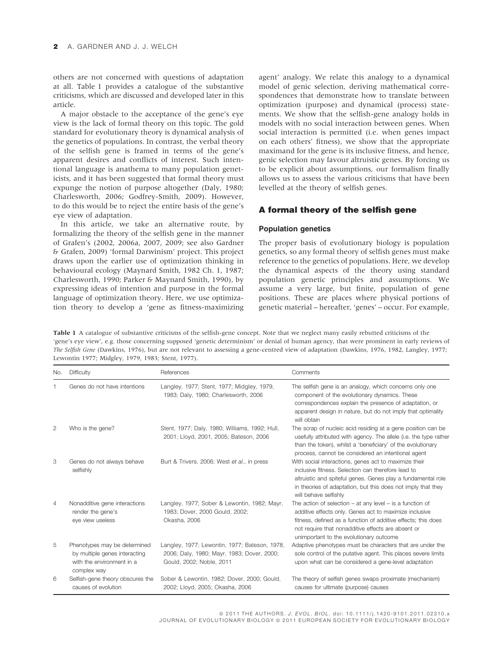others are not concerned with questions of adaptation at all. Table 1 provides a catalogue of the substantive criticisms, which are discussed and developed later in this article.

A major obstacle to the acceptance of the gene's eye view is the lack of formal theory on this topic. The gold standard for evolutionary theory is dynamical analysis of the genetics of populations. In contrast, the verbal theory of the selfish gene is framed in terms of the gene's apparent desires and conflicts of interest. Such intentional language is anathema to many population geneticists, and it has been suggested that formal theory must expunge the notion of purpose altogether (Daly, 1980; Charlesworth, 2006; Godfrey-Smith, 2009). However, to do this would be to reject the entire basis of the gene's eye view of adaptation.

In this article, we take an alternative route, by formalizing the theory of the selfish gene in the manner of Grafen's (2002, 2006a, 2007, 2009; see also Gardner & Grafen, 2009) 'formal Darwinism' project. This project draws upon the earlier use of optimization thinking in behavioural ecology (Maynard Smith, 1982 Ch. 1, 1987; Charlesworth, 1990; Parker & Maynard Smith, 1990), by expressing ideas of intention and purpose in the formal language of optimization theory. Here, we use optimization theory to develop a 'gene as fitness-maximizing

agent' analogy. We relate this analogy to a dynamical model of genic selection, deriving mathematical correspondences that demonstrate how to translate between optimization (purpose) and dynamical (process) statements. We show that the selfish-gene analogy holds in models with no social interaction between genes. When social interaction is permitted (i.e. when genes impact on each others' fitness), we show that the appropriate maximand for the gene is its inclusive fitness, and hence, genic selection may favour altruistic genes. By forcing us to be explicit about assumptions, our formalism finally allows us to assess the various criticisms that have been levelled at the theory of selfish genes.

## A formal theory of the selfish gene

## Population genetics

The proper basis of evolutionary biology is population genetics, so any formal theory of selfish genes must make reference to the genetics of populations. Here, we develop the dynamical aspects of the theory using standard population genetic principles and assumptions. We assume a very large, but finite, population of gene positions. These are places where physical portions of genetic material – hereafter, 'genes' – occur. For example,

Table 1 A catalogue of substantive criticisms of the selfish-gene concept. Note that we neglect many easily rebutted criticisms of the 'gene's eye view', e.g. those concerning supposed 'genetic determinism' or denial of human agency, that were prominent in early reviews of The Selfish Gene (Dawkins, 1976), but are not relevant to assessing a gene-centred view of adaptation (Dawkins, 1976, 1982, Langley, 1977; Lewontin 1977; Midgley, 1979, 1983; Stent, 1977).

| No.            | Difficulty                                                                                                | References                                                                                                              | Comments                                                                                                                                                                                                                                                                                  |
|----------------|-----------------------------------------------------------------------------------------------------------|-------------------------------------------------------------------------------------------------------------------------|-------------------------------------------------------------------------------------------------------------------------------------------------------------------------------------------------------------------------------------------------------------------------------------------|
| 1              | Genes do not have intentions                                                                              | Langley, 1977; Stent, 1977; Midgley, 1979,<br>1983; Daly, 1980; Charlesworth, 2006                                      | The selfish gene is an analogy, which concerns only one<br>component of the evolutionary dynamics. These<br>correspondences explain the presence of adaptation, or<br>apparent design in nature, but do not imply that optimality<br>will obtain                                          |
| 2              | Who is the gene?                                                                                          | Stent, 1977; Daly, 1980; Williams, 1992; Hull,<br>2001; Lloyd, 2001, 2005; Bateson, 2006                                | The scrap of nucleic acid residing at a gene position can be<br>usefully attributed with agency. The allele (i.e. the type rather<br>than the token), whilst a 'beneficiary' of the evolutionary<br>process, cannot be considered an intentional agent                                    |
| 3              | Genes do not always behave<br>selfishly                                                                   | Burt & Trivers, 2006; West et al., in press                                                                             | With social interactions, genes act to maximize their<br>inclusive fitness. Selection can therefore lead to<br>altruistic and spiteful genes. Genes play a fundamental role<br>in theories of adaptation, but this does not imply that they<br>will behave selfishly                      |
| $\overline{4}$ | Nonadditive gene interactions<br>render the gene's<br>eye view useless                                    | Langley, 1977; Sober & Lewontin, 1982; Mayr,<br>1983; Dover, 2000 Gould, 2002;<br>Okasha, 2006                          | The action of selection $-$ at any level $-$ is a function of<br>additive effects only. Genes act to maximize inclusive<br>fitness, defined as a function of additive effects; this does<br>not require that nonadditive effects are absent or<br>unimportant to the evolutionary outcome |
| 5              | Phenotypes may be determined<br>by multiple genes interacting<br>with the environment in a<br>complex way | Langley, 1977; Lewontin, 1977; Bateson, 1978,<br>2006; Daly, 1980; Mayr, 1983; Dover, 2000;<br>Gould, 2002; Noble, 2011 | Adaptive phenotypes must be characters that are under the<br>sole control of the putative agent. This places severe limits<br>upon what can be considered a gene-level adaptation                                                                                                         |
| 6              | Selfish-gene theory obscures the<br>causes of evolution                                                   | Sober & Lewontin, 1982; Dover, 2000; Gould,<br>2002; Lloyd, 2005; Okasha, 2006                                          | The theory of selfish genes swaps proximate (mechanism)<br>causes for ultimate (purpose) causes                                                                                                                                                                                           |

ª 2011 THE AUTHORS. J. EVOL. BIOL. doi: 10.1111/j.1420-9101.2011.02310.x JOURNAL OF EVOLUTIONARY BIOLOGY @ 2011 EUROPEAN SOCIETY FOR EVOLUTIONARY BIOLOGY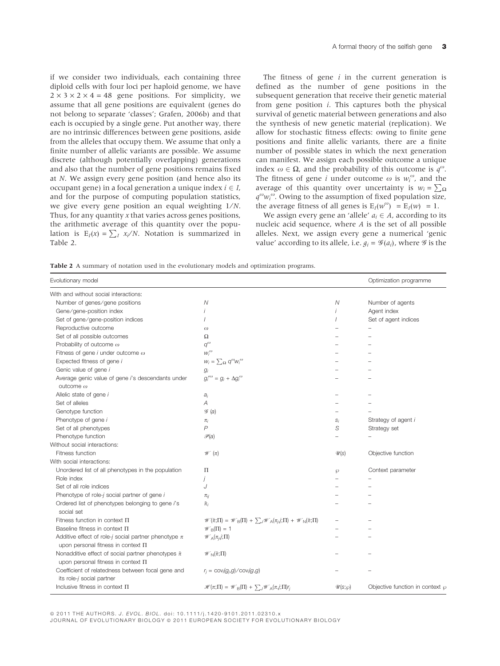if we consider two individuals, each containing three diploid cells with four loci per haploid genome, we have  $2 \times 3 \times 2 \times 4 = 48$  gene positions. For simplicity, we assume that all gene positions are equivalent (genes do not belong to separate 'classes'; Grafen, 2006b) and that each is occupied by a single gene. Put another way, there are no intrinsic differences between gene positions, aside from the alleles that occupy them. We assume that only a finite number of allelic variants are possible. We assume discrete (although potentially overlapping) generations and also that the number of gene positions remains fixed at N. We assign every gene position (and hence also its occupant gene) in a focal generation a unique index  $i \in I$ , and for the purpose of computing population statistics, we give every gene position an equal weighting  $1/N$ . Thus, for any quantity  $x$  that varies across genes positions, the arithmetic average of this quantity over the population is  $E_I(x) = \sum_I x_i / N$ . Notation is summarized in Table 2.

The fitness of gene  $i$  in the current generation is defined as the number of gene positions in the subsequent generation that receive their genetic material from gene position  $i$ . This captures both the physical survival of genetic material between generations and also the synthesis of new genetic material (replication). We allow for stochastic fitness effects: owing to finite gene positions and finite allelic variants, there are a finite number of possible states in which the next generation can manifest. We assign each possible outcome a unique index  $\omega \in \Omega$ , and the probability of this outcome is  $q^{\omega}$ . The fitness of gene *i* under outcome  $\omega$  is  $w_i^{\omega}$ , and the average of this quantity over uncertainty is  $w_i = \sum_{\Omega} w_i$  $q^{\omega}w_i^{\omega}$ . Owing to the assumption of fixed population size, the average fitness of all genes is  $E_I(w^{\omega}) = E_I(w) = 1$ .

We assign every gene an 'allele'  $a_i \in A$ , according to its nucleic acid sequence, where A is the set of all possible alleles. Next, we assign every gene a numerical 'genic value' according to its allele, i.e.  $g_i = \mathcal{G}(a_i)$ , where  $\mathcal G$  is the

Table 2 A summary of notation used in the evolutionary models and optimization programs.

| Evolutionary model                                            |                                                                                                                                                         |                               | Optimization programme              |
|---------------------------------------------------------------|---------------------------------------------------------------------------------------------------------------------------------------------------------|-------------------------------|-------------------------------------|
| With and without social interactions:                         |                                                                                                                                                         |                               |                                     |
| Number of genes/gene positions                                | Ν                                                                                                                                                       | $\cal N$                      | Number of agents                    |
| Gene/gene-position index                                      |                                                                                                                                                         | i                             | Agent index                         |
| Set of gene/gene-position indices                             |                                                                                                                                                         | $\prime$                      | Set of agent indices                |
| Reproductive outcome                                          | $\omega$                                                                                                                                                |                               |                                     |
| Set of all possible outcomes                                  | Ω                                                                                                                                                       |                               |                                     |
| Probability of outcome $\omega$                               | $q^{\omega}$                                                                                                                                            |                               |                                     |
| Fitness of gene i under outcome $\omega$                      | $W_i^{\omega}$                                                                                                                                          |                               |                                     |
| Expected fitness of gene i                                    | $W_i = \sum_{\Omega} q^{\omega} W_i^{\omega}$                                                                                                           |                               |                                     |
| Genic value of gene i                                         | $g_i$                                                                                                                                                   |                               |                                     |
| Average genic value of gene i's descendants under             | ${g_i}'^{\omega} = g_i + \Delta {g_i}^{\omega}$                                                                                                         |                               |                                     |
| outcome $\omega$                                              |                                                                                                                                                         |                               |                                     |
| Allelic state of gene i                                       | $a_i$                                                                                                                                                   |                               |                                     |
| Set of alleles                                                | Α                                                                                                                                                       |                               |                                     |
| Genotype function                                             | $\mathscr{G}$ (a)                                                                                                                                       |                               |                                     |
| Phenotype of gene i                                           | $\pi_i$                                                                                                                                                 | $S_i$                         | Strategy of agent i                 |
| Set of all phenotypes                                         | $\overline{P}$                                                                                                                                          | S                             | Strategy set                        |
| Phenotype function                                            | $\mathscr{P}(a)$                                                                                                                                        |                               |                                     |
| Without social interactions:                                  |                                                                                                                                                         |                               |                                     |
| Fitness function                                              | $\mathscr{W}(\pi)$                                                                                                                                      | $\mathscr{U}(\mathsf{S})$     | Objective function                  |
| With social interactions:                                     |                                                                                                                                                         |                               |                                     |
| Unordered list of all phenotypes in the population            | Π                                                                                                                                                       | 6                             | Context parameter                   |
| Role index                                                    |                                                                                                                                                         |                               |                                     |
| Set of all role indices                                       | J                                                                                                                                                       |                               |                                     |
| Phenotype of role-j social partner of gene i                  | $\pi_{ij}$                                                                                                                                              |                               |                                     |
| Ordered list of phenotypes belonging to gene i's              | $\tilde{\pi}_i$                                                                                                                                         |                               |                                     |
| social set                                                    |                                                                                                                                                         |                               |                                     |
| Fitness function in context $\Pi$                             | $\mathcal{W}(\tilde{\pi};\Pi) = \mathcal{W}_{\text{B}}(\Pi) + \sum_{J} \mathcal{W}_{\text{A}}(\pi_{i},j;\Pi) + \mathcal{W}_{\text{N}}(\tilde{\pi};\Pi)$ |                               |                                     |
| Baseline fitness in context $\Pi$                             | $\mathcal{W}_B(\Pi) = 1$                                                                                                                                |                               |                                     |
| Additive effect of role-j social partner phenotype $\pi$      | $\mathcal{W}_A(\pi_i,j;\Pi)$                                                                                                                            |                               |                                     |
| upon personal fitness in context $\Pi$                        |                                                                                                                                                         |                               |                                     |
| Nonadditive effect of social partner phenotypes $\tilde{\pi}$ | $\mathscr{W}_{N}(\tilde{\pi};\Pi)$                                                                                                                      |                               |                                     |
| upon personal fitness in context $\Pi$                        |                                                                                                                                                         |                               |                                     |
| Coefficient of relatedness between focal gene and             | $r_i = \text{cov}_i(g_i, g) / \text{cov}_i(g, g)$                                                                                                       |                               |                                     |
| its role-j social partner                                     |                                                                                                                                                         |                               |                                     |
| Inclusive fitness in context $\Pi$                            | $\mathcal{H}(\pi;\Pi) = \mathcal{W}_{\text{B}}(\Pi) + \sum_{J} \mathcal{W}_{\text{A}}(\pi, j; \Pi) r_{j}$                                               | $\mathscr{U}(\mathsf{S};\wp)$ | Objective function in context $\wp$ |

ª 2011 THE AUTHORS. J. EVOL. BIOL. doi: 10.1111/j.1420-9101.2011.02310.x

JOURNAL OF EVOLUTIONARY BIOLOGY @ 2011 EUROPEAN SOCIETY FOR EVOLUTIONARY BIOLOGY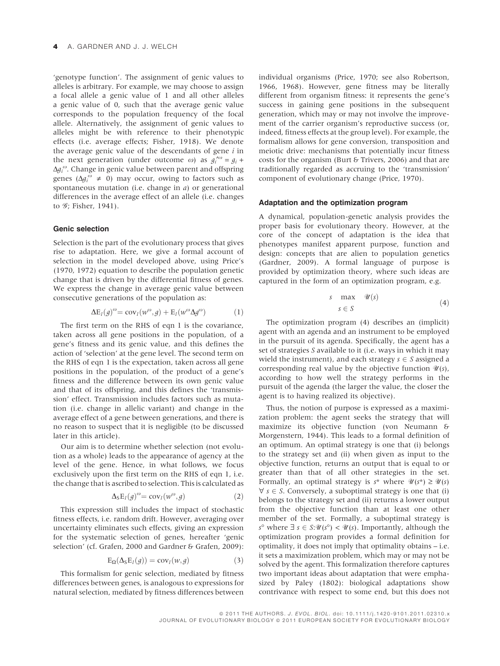'genotype function'. The assignment of genic values to alleles is arbitrary. For example, we may choose to assign a focal allele a genic value of 1 and all other alleles a genic value of 0, such that the average genic value corresponds to the population frequency of the focal allele. Alternatively, the assignment of genic values to alleles might be with reference to their phenotypic effects (i.e. average effects; Fisher, 1918). We denote the average genic value of the descendants of gene  $i$  in the next generation (under outcome  $\omega$ ) as  $g_i^{\prime\omega} = g_i +$  $\Delta g_i^{\omega}$ . Change in genic value between parent and offspring genes ( $\Delta g_i^{\omega} \neq 0$ ) may occur, owing to factors such as spontaneous mutation (i.e. change in  $a$ ) or generational differences in the average effect of an allele (i.e. changes to *G*; Fisher, 1941).

#### Genic selection

Selection is the part of the evolutionary process that gives rise to adaptation. Here, we give a formal account of selection in the model developed above, using Price's (1970, 1972) equation to describe the population genetic change that is driven by the differential fitness of genes. We express the change in average genic value between consecutive generations of the population as:

$$
\Delta E_I(g)^{\omega} = \text{cov}_I(w^{\omega}, g) + E_I(w^{\omega} \Delta g^{\omega}) \tag{1}
$$

The first term on the RHS of eqn 1 is the covariance, taken across all gene positions in the population, of a gene's fitness and its genic value, and this defines the action of 'selection' at the gene level. The second term on the RHS of eqn 1 is the expectation, taken across all gene positions in the population, of the product of a gene's fitness and the difference between its own genic value and that of its offspring, and this defines the 'transmission' effect. Transmission includes factors such as mutation (i.e. change in allelic variant) and change in the average effect of a gene between generations, and there is no reason to suspect that it is negligible (to be discussed later in this article).

Our aim is to determine whether selection (not evolution as a whole) leads to the appearance of agency at the level of the gene. Hence, in what follows, we focus exclusively upon the first term on the RHS of eqn 1, i.e. the change that is ascribed to selection. This is calculated as

$$
\Delta_S E_I(g)^{\omega} = \text{cov}_I(w^{\omega}, g) \tag{2}
$$

This expression still includes the impact of stochastic fitness effects, i.e. random drift. However, averaging over uncertainty eliminates such effects, giving an expression for the systematic selection of genes, hereafter 'genic selection' (cf. Grafen, 2000 and Gardner & Grafen, 2009):

$$
E_{\Omega}(\Delta_{S}E_{I}(g)) = cov_{I}(w,g)
$$
 (3)

This formalism for genic selection, mediated by fitness differences between genes, is analogous to expressions for natural selection, mediated by fitness differences between individual organisms (Price, 1970; see also Robertson, 1966, 1968). However, gene fitness may be literally different from organism fitness: it represents the gene's success in gaining gene positions in the subsequent generation, which may or may not involve the improvement of the carrier organism's reproductive success (or, indeed, fitness effects at the group level). For example, the formalism allows for gene conversion, transposition and meiotic drive: mechanisms that potentially incur fitness costs for the organism (Burt & Trivers, 2006) and that are traditionally regarded as accruing to the 'transmission' component of evolutionary change (Price, 1970).

## Adaptation and the optimization program

A dynamical, population-genetic analysis provides the proper basis for evolutionary theory. However, at the core of the concept of adaptation is the idea that phenotypes manifest apparent purpose, function and design: concepts that are alien to population genetics (Gardner, 2009). A formal language of purpose is provided by optimization theory, where such ideas are captured in the form of an optimization program, e.g.

$$
s \quad \max \quad \mathscr{U}(s) \tag{4}
$$
\n
$$
s \in S
$$

The optimization program (4) describes an (implicit) agent with an agenda and an instrument to be employed in the pursuit of its agenda. Specifically, the agent has a set of strategies S available to it (i.e. ways in which it may wield the instrument), and each strategy  $s \in S$  assigned a corresponding real value by the objective function  $\mathcal{U}(s)$ , according to how well the strategy performs in the pursuit of the agenda (the larger the value, the closer the agent is to having realized its objective).

Thus, the notion of purpose is expressed as a maximization problem: the agent seeks the strategy that will maximize its objective function (von Neumann & Morgenstern, 1944). This leads to a formal definition of an optimum. An optimal strategy is one that (i) belongs to the strategy set and (ii) when given as input to the objective function, returns an output that is equal to or greater than that of all other strategies in the set. Formally, an optimal strategy is  $s^*$  where  $\mathcal{U}(s^*) \geq \mathcal{U}(s)$  $\forall s \in S$ . Conversely, a suboptimal strategy is one that (i) belongs to the strategy set and (ii) returns a lower output from the objective function than at least one other member of the set. Formally, a suboptimal strategy is  $s^{\circ}$  where  $\exists s \in S:\mathscr{U}(s^{\circ}) < \mathscr{U}(s)$ . Importantly, although the optimization program provides a formal definition for optimality, it does not imply that optimality obtains – i.e. it sets a maximization problem, which may or may not be solved by the agent. This formalization therefore captures two important ideas about adaptation that were emphasized by Paley (1802): biological adaptations show contrivance with respect to some end, but this does not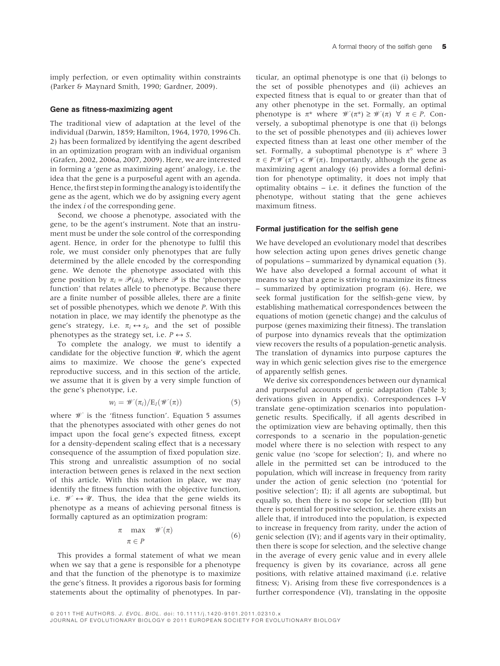imply perfection, or even optimality within constraints (Parker & Maynard Smith, 1990; Gardner, 2009).

## Gene as fitness-maximizing agent

The traditional view of adaptation at the level of the individual (Darwin, 1859; Hamilton, 1964, 1970, 1996 Ch. 2) has been formalized by identifying the agent described in an optimization program with an individual organism (Grafen, 2002, 2006a, 2007, 2009). Here, we are interested in forming a 'gene as maximizing agent' analogy, i.e. the idea that the gene is a purposeful agent with an agenda. Hence, the first step in forming the analogy is to identify the gene as the agent, which we do by assigning every agent the index i of the corresponding gene.

Second, we choose a phenotype, associated with the gene, to be the agent's instrument. Note that an instrument must be under the sole control of the corresponding agent. Hence, in order for the phenotype to fulfil this role, we must consider only phenotypes that are fully determined by the allele encoded by the corresponding gene. We denote the phenotype associated with this gene position by  $\pi_i = \mathcal{P}(a_i)$ , where  $\mathcal P$  is the 'phenotype' function' that relates allele to phenotype. Because there are a finite number of possible alleles, there are a finite set of possible phenotypes, which we denote P. With this notation in place, we may identify the phenotype as the gene's strategy, i.e.  $\pi_i \leftrightarrow s_i$ , and the set of possible phenotypes as the strategy set, i.e.  $P \leftrightarrow S$ .

To complete the analogy, we must to identify a candidate for the objective function  $\mathcal U$ , which the agent aims to maximize. We choose the gene's expected reproductive success, and in this section of the article, we assume that it is given by a very simple function of the gene's phenotype, i.e.

$$
w_i = \mathscr{W}(\pi_i) / \mathrm{E}_I(\mathscr{W}(\pi)) \tag{5}
$$

where  $\mathscr W$  is the 'fitness function'. Equation 5 assumes that the phenotypes associated with other genes do not impact upon the focal gene's expected fitness, except for a density-dependent scaling effect that is a necessary consequence of the assumption of fixed population size. This strong and unrealistic assumption of no social interaction between genes is relaxed in the next section of this article. With this notation in place, we may identify the fitness function with the objective function, i.e.  $W \leftrightarrow \mathcal{U}$ . Thus, the idea that the gene wields its phenotype as a means of achieving personal fitness is formally captured as an optimization program:

$$
\pi \quad \max \quad \mathscr{W}(\pi) \tag{6}
$$
\n
$$
\pi \in P
$$

This provides a formal statement of what we mean when we say that a gene is responsible for a phenotype and that the function of the phenotype is to maximize the gene's fitness. It provides a rigorous basis for forming statements about the optimality of phenotypes. In par-

ticular, an optimal phenotype is one that (i) belongs to the set of possible phenotypes and (ii) achieves an expected fitness that is equal to or greater than that of any other phenotype in the set. Formally, an optimal phenotype is  $\pi^*$  where  $\mathcal{W}(\pi^*) \geq \mathcal{W}(\pi)$   $\forall \pi \in P$ . Conversely, a suboptimal phenotype is one that (i) belongs to the set of possible phenotypes and (ii) achieves lower expected fitness than at least one other member of the set. Formally, a suboptimal phenotype is  $\pi^{\circ}$  where  $\exists$  $\pi \in P:\mathscr{W}(\pi^{\circ}) < \mathscr{W}(\pi)$ . Importantly, although the gene as maximizing agent analogy (6) provides a formal definition for phenotype optimality, it does not imply that optimality obtains – i.e. it defines the function of the phenotype, without stating that the gene achieves maximum fitness.

## Formal justification for the selfish gene

We have developed an evolutionary model that describes how selection acting upon genes drives genetic change of populations – summarized by dynamical equation (3). We have also developed a formal account of what it means to say that a gene is striving to maximize its fitness – summarized by optimization program (6). Here, we seek formal justification for the selfish-gene view, by establishing mathematical correspondences between the equations of motion (genetic change) and the calculus of purpose (genes maximizing their fitness). The translation of purpose into dynamics reveals that the optimization view recovers the results of a population-genetic analysis. The translation of dynamics into purpose captures the way in which genic selection gives rise to the emergence of apparently selfish genes.

We derive six correspondences between our dynamical and purposeful accounts of genic adaptation (Table 3; derivations given in Appendix). Correspondences I–V translate gene-optimization scenarios into populationgenetic results. Specifically, if all agents described in the optimization view are behaving optimally, then this corresponds to a scenario in the population-genetic model where there is no selection with respect to any genic value (no 'scope for selection'; I), and where no allele in the permitted set can be introduced to the population, which will increase in frequency from rarity under the action of genic selection (no 'potential for positive selection'; II); if all agents are suboptimal, but equally so, then there is no scope for selection (III) but there is potential for positive selection, i.e. there exists an allele that, if introduced into the population, is expected to increase in frequency from rarity, under the action of genic selection (IV); and if agents vary in their optimality, then there is scope for selection, and the selective change in the average of every genic value and in every allele frequency is given by its covariance, across all gene positions, with relative attained maximand (i.e. relative fitness; V). Arising from these five correspondences is a further correspondence (VI), translating in the opposite

ª 2011 THE AUTHORS. J. EVOL. BIOL. doi: 10.1111/j.1420-9101.2011.02310.x

JOURNAL OF EVOLUTIONARY BIOLOGY ª 2011 EUROPEAN SOCIETY FOR EVOLUTIONARY BIOLOGY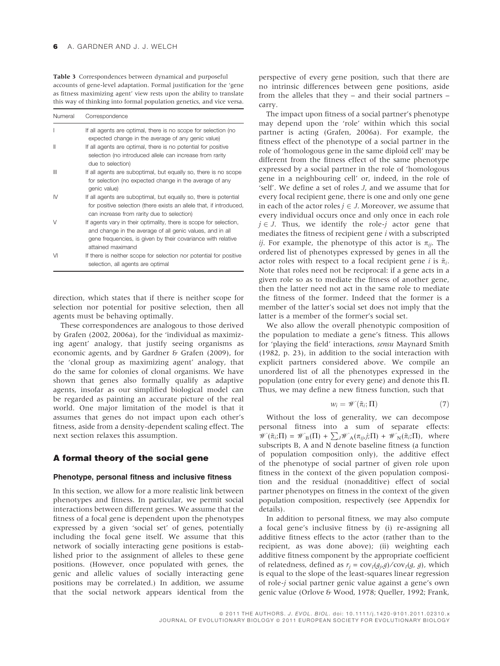Table 3 Correspondences between dynamical and purposeful accounts of gene-level adaptation. Formal justification for the 'gene as fitness maximizing agent' view rests upon the ability to translate this way of thinking into formal population genetics, and vice versa.

| Numeral | Correspondence                                                                                                                                                                                                      |
|---------|---------------------------------------------------------------------------------------------------------------------------------------------------------------------------------------------------------------------|
|         | If all agents are optimal, there is no scope for selection (no<br>expected change in the average of any genic value)                                                                                                |
| Ш       | If all agents are optimal, there is no potential for positive<br>selection (no introduced allele can increase from rarity<br>due to selection)                                                                      |
| Ш       | If all agents are suboptimal, but equally so, there is no scope<br>for selection (no expected change in the average of any<br>genic value)                                                                          |
| IV      | If all agents are suboptimal, but equally so, there is potential<br>for positive selection (there exists an allele that, if introduced,<br>can increase from rarity due to selection)                               |
| V       | If agents vary in their optimality, there is scope for selection,<br>and change in the average of all genic values, and in all<br>gene frequencies, is given by their covariance with relative<br>attained maximand |
| VI      | If there is neither scope for selection nor potential for positive<br>selection, all agents are optimal                                                                                                             |

direction, which states that if there is neither scope for selection nor potential for positive selection, then all agents must be behaving optimally.

These correspondences are analogous to those derived by Grafen (2002, 2006a), for the 'individual as maximizing agent' analogy, that justify seeing organisms as economic agents, and by Gardner & Grafen (2009), for the 'clonal group as maximizing agent' analogy, that do the same for colonies of clonal organisms. We have shown that genes also formally qualify as adaptive agents, insofar as our simplified biological model can be regarded as painting an accurate picture of the real world. One major limitation of the model is that it assumes that genes do not impact upon each other's fitness, aside from a density-dependent scaling effect. The next section relaxes this assumption.

## A formal theory of the social gene

## Phenotype, personal fitness and inclusive fitness

In this section, we allow for a more realistic link between phenotypes and fitness. In particular, we permit social interactions between different genes. We assume that the fitness of a focal gene is dependent upon the phenotypes expressed by a given 'social set' of genes, potentially including the focal gene itself. We assume that this network of socially interacting gene positions is established prior to the assignment of alleles to these gene positions. (However, once populated with genes, the genic and allelic values of socially interacting gene positions may be correlated.) In addition, we assume that the social network appears identical from the

perspective of every gene position, such that there are no intrinsic differences between gene positions, aside from the alleles that they – and their social partners – carry.

The impact upon fitness of a social partner's phenotype may depend upon the 'role' within which this social partner is acting (Grafen, 2006a). For example, the fitness effect of the phenotype of a social partner in the role of 'homologous gene in the same diploid cell' may be different from the fitness effect of the same phenotype expressed by a social partner in the role of 'homologous gene in a neighbouring cell' or, indeed, in the role of 'self'. We define a set of roles J, and we assume that for every focal recipient gene, there is one and only one gene in each of the actor roles  $j \in J$ . Moreover, we assume that every individual occurs once and only once in each role  $i \in J$ . Thus, we identify the role-j actor gene that mediates the fitness of recipient gene i with a subscripted *ij*. For example, the phenotype of this actor is  $\pi_{ii}$ . The ordered list of phenotypes expressed by genes in all the actor roles with respect to a focal recipient gene *i* is  $\tilde{\pi}_i$ . Note that roles need not be reciprocal: if a gene acts in a given role so as to mediate the fitness of another gene, then the latter need not act in the same role to mediate the fitness of the former. Indeed that the former is a member of the latter's social set does not imply that the latter is a member of the former's social set.

We also allow the overall phenotypic composition of the population to mediate a gene's fitness. This allows for 'playing the field' interactions, sensu Maynard Smith (1982, p. 23), in addition to the social interaction with explicit partners considered above. We compile an unordered list of all the phenotypes expressed in the population (one entry for every gene) and denote this  $\Pi$ . Thus, we may define a new fitness function, such that

$$
w_i = \mathscr{W}(\tilde{\pi}_i; \Pi) \tag{7}
$$

Without the loss of generality, we can decompose personal fitness into a sum of separate effects:  $\mathcal{W}(\tilde{\pi}_i;\Pi) = \mathcal{W}_B(\Pi) + \sum_{J} \mathcal{W}_A(\pi_{ij},j;\Pi) + \mathcal{W}_N(\tilde{\pi}_i;\Pi),$  where subscripts B, A and N denote baseline fitness (a function of population composition only), the additive effect of the phenotype of social partner of given role upon fitness in the context of the given population composition and the residual (nonadditive) effect of social partner phenotypes on fitness in the context of the given population composition, respectively (see Appendix for details).

In addition to personal fitness, we may also compute a focal gene's inclusive fitness by (i) re-assigning all additive fitness effects to the actor (rather than to the recipient, as was done above); (ii) weighting each additive fitness component by the appropriate coefficient of relatedness, defined as  $r_i = \text{cov}_I(g_i, g) / \text{cov}_I(g, g)$ , which is equal to the slope of the least-squares linear regression of role-j social partner genic value against a gene's own genic value (Orlove & Wood, 1978; Queller, 1992; Frank,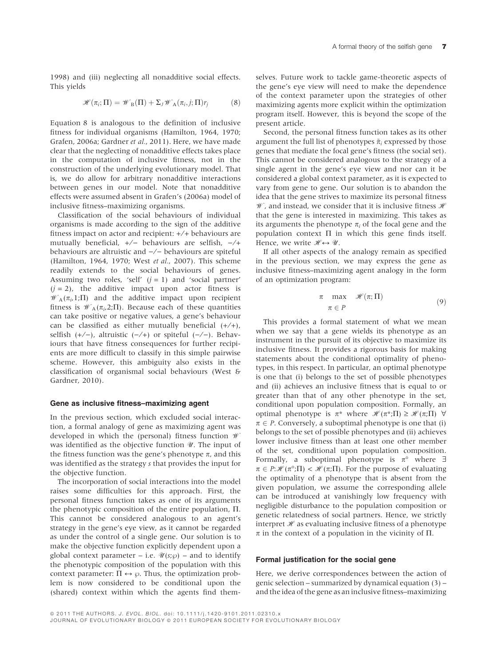1998) and (iii) neglecting all nonadditive social effects. This yields

$$
\mathcal{H}(\pi_i; \Pi) = \mathcal{W}_B(\Pi) + \Sigma_J \mathcal{W}_A(\pi_i, j; \Pi) r_j \tag{8}
$$

Equation 8 is analogous to the definition of inclusive fitness for individual organisms (Hamilton, 1964, 1970; Grafen, 2006a; Gardner et al., 2011). Here, we have made clear that the neglecting of nonadditive effects takes place in the computation of inclusive fitness, not in the construction of the underlying evolutionary model. That is, we do allow for arbitrary nonadditive interactions between genes in our model. Note that nonadditive effects were assumed absent in Grafen's (2006a) model of inclusive fitness–maximizing organisms.

Classification of the social behaviours of individual organisms is made according to the sign of the additive fitness impact on actor and recipient:  $+/+$  behaviours are mutually beneficial,  $+/-$  behaviours are selfish,  $-/+$ behaviours are altruistic and  $-\prime$  - behaviours are spiteful (Hamilton, 1964, 1970; West et al., 2007). This scheme readily extends to the social behaviours of genes. Assuming two roles, 'self'  $(j = 1)$  and 'social partner'  $(j = 2)$ , the additive impact upon actor fitness is  $\mathscr{W}_{A}(\pi_{i},1;\Pi)$  and the additive impact upon recipient fitness is  $\mathscr{W}_A(\pi_i, 2;\Pi)$ . Because each of these quantities can take positive or negative values, a gene's behaviour can be classified as either mutually beneficial  $(+/+)$ , selfish  $(+/-)$ , altruistic  $(-/+)$  or spiteful  $(-/-)$ . Behaviours that have fitness consequences for further recipients are more difficult to classify in this simple pairwise scheme. However, this ambiguity also exists in the classification of organismal social behaviours (West & Gardner, 2010).

#### Gene as inclusive fitness–maximizing agent

In the previous section, which excluded social interaction, a formal analogy of gene as maximizing agent was developed in which the (personal) fitness function  $\mathscr W$ was identified as the objective function  $\mathcal U$ . The input of the fitness function was the gene's phenotype  $\pi$ , and this was identified as the strategy s that provides the input for the objective function.

The incorporation of social interactions into the model raises some difficulties for this approach. First, the personal fitness function takes as one of its arguments the phenotypic composition of the entire population,  $\Pi$ . This cannot be considered analogous to an agent's strategy in the gene's eye view, as it cannot be regarded as under the control of a single gene. Our solution is to make the objective function explicitly dependent upon a global context parameter – i.e.  $\mathcal{U}(s;\varphi)$  – and to identify the phenotypic composition of the population with this context parameter:  $\Pi \leftrightarrow \varphi$ . Thus, the optimization problem is now considered to be conditional upon the (shared) context within which the agents find themselves. Future work to tackle game-theoretic aspects of the gene's eye view will need to make the dependence of the context parameter upon the strategies of other maximizing agents more explicit within the optimization program itself. However, this is beyond the scope of the present article.

Second, the personal fitness function takes as its other argument the full list of phenotypes  $\tilde{\pi}_i$  expressed by those genes that mediate the focal gene's fitness (the social set). This cannot be considered analogous to the strategy of a single agent in the gene's eye view and nor can it be considered a global context parameter, as it is expected to vary from gene to gene. Our solution is to abandon the idea that the gene strives to maximize its personal fitness  $W$ , and instead, we consider that it is inclusive fitness  $H$ that the gene is interested in maximizing. This takes as its arguments the phenotype  $\pi_i$  of the focal gene and the population context  $\Pi$  in which this gene finds itself. Hence, we write  $\mathcal{H} \leftrightarrow \mathcal{U}$ .

If all other aspects of the analogy remain as specified in the previous section, we may express the gene as inclusive fitness–maximizing agent analogy in the form of an optimization program:

$$
\pi \quad \max \quad \mathcal{H}(\pi; \Pi) \tag{9}
$$
\n
$$
\pi \in P
$$

This provides a formal statement of what we mean when we say that a gene wields its phenotype as an instrument in the pursuit of its objective to maximize its inclusive fitness. It provides a rigorous basis for making statements about the conditional optimality of phenotypes, in this respect. In particular, an optimal phenotype is one that (i) belongs to the set of possible phenotypes and (ii) achieves an inclusive fitness that is equal to or greater than that of any other phenotype in the set, conditional upon population composition. Formally, an optimal phenotype is  $\pi^*$  where  $\mathcal{H}(\pi^*;\Pi) \geq \mathcal{H}(\pi;\Pi)$   $\forall$  $\pi \in P$ . Conversely, a suboptimal phenotype is one that (i) belongs to the set of possible phenotypes and (ii) achieves lower inclusive fitness than at least one other member of the set, conditional upon population composition. Formally, a suboptimal phenotype is  $\pi^{\circ}$  where  $\exists$  $\pi \in P:\mathscr{H}(\pi^{\circ};\Pi) < \mathscr{H}(\pi;\Pi)$ . For the purpose of evaluating the optimality of a phenotype that is absent from the given population, we assume the corresponding allele can be introduced at vanishingly low frequency with negligible disturbance to the population composition or genetic relatedness of social partners. Hence, we strictly interpret  $\mathcal H$  as evaluating inclusive fitness of a phenotype  $\pi$  in the context of a population in the vicinity of  $\Pi$ .

## Formal justification for the social gene

Here, we derive correspondences between the action of genic selection – summarized by dynamical equation (3) – and the idea of the gene as an inclusive fitness–maximizing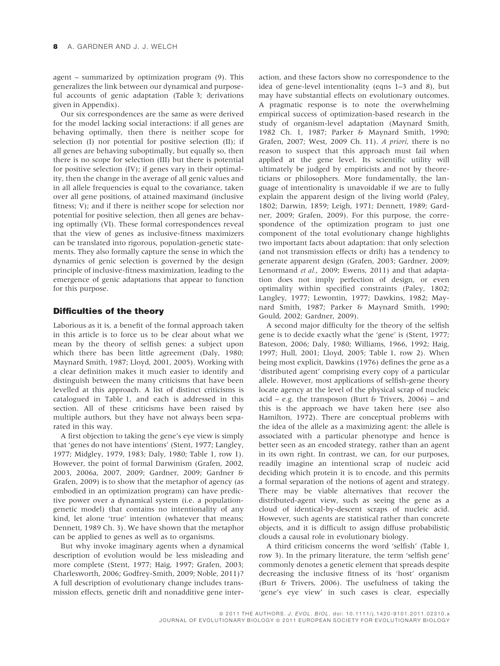agent – summarized by optimization program (9). This generalizes the link between our dynamical and purposeful accounts of genic adaptation (Table 3; derivations given in Appendix).

Our six correspondences are the same as were derived for the model lacking social interactions: if all genes are behaving optimally, then there is neither scope for selection (I) nor potential for positive selection (II); if all genes are behaving suboptimally, but equally so, then there is no scope for selection (III) but there is potential for positive selection (IV); if genes vary in their optimality, then the change in the average of all genic values and in all allele frequencies is equal to the covariance, taken over all gene positions, of attained maximand (inclusive fitness; V); and if there is neither scope for selection nor potential for positive selection, then all genes are behaving optimally (VI). These formal correspondences reveal that the view of genes as inclusive-fitness maximizers can be translated into rigorous, population-genetic statements. They also formally capture the sense in which the dynamics of genic selection is governed by the design principle of inclusive-fitness maximization, leading to the emergence of genic adaptations that appear to function for this purpose.

## Difficulties of the theory

Laborious as it is, a benefit of the formal approach taken in this article is to force us to be clear about what we mean by the theory of selfish genes: a subject upon which there has been little agreement (Daly, 1980; Maynard Smith, 1987; Lloyd, 2001, 2005). Working with a clear definition makes it much easier to identify and distinguish between the many criticisms that have been levelled at this approach. A list of distinct criticisms is catalogued in Table 1, and each is addressed in this section. All of these criticisms have been raised by multiple authors, but they have not always been separated in this way.

A first objection to taking the gene's eye view is simply that 'genes do not have intentions' (Stent, 1977; Langley, 1977; Midgley, 1979, 1983; Daly, 1980; Table 1, row 1). However, the point of formal Darwinism (Grafen, 2002, 2003, 2006a, 2007, 2009; Gardner, 2009; Gardner & Grafen, 2009) is to show that the metaphor of agency (as embodied in an optimization program) can have predictive power over a dynamical system (i.e. a populationgenetic model) that contains no intentionality of any kind, let alone 'true' intention (whatever that means; Dennett, 1989 Ch. 3). We have shown that the metaphor can be applied to genes as well as to organisms.

But why invoke imaginary agents when a dynamical description of evolution would be less misleading and more complete (Stent, 1977; Haig, 1997; Grafen, 2003; Charlesworth, 2006; Godfrey-Smith, 2009; Noble, 2011)? A full description of evolutionary change includes transmission effects, genetic drift and nonadditive gene interaction, and these factors show no correspondence to the idea of gene-level intentionality (eqns 1–3 and 8), but may have substantial effects on evolutionary outcomes. A pragmatic response is to note the overwhelming empirical success of optimization-based research in the study of organism-level adaptation (Maynard Smith, 1982 Ch. 1, 1987; Parker & Maynard Smith, 1990; Grafen, 2007; West, 2009 Ch. 11). A priori, there is no reason to suspect that this approach must fail when applied at the gene level. Its scientific utility will ultimately be judged by empiricists and not by theoreticians or philosophers. More fundamentally, the language of intentionality is unavoidable if we are to fully explain the apparent design of the living world (Paley, 1802; Darwin, 1859; Leigh, 1971; Dennett, 1989; Gardner, 2009; Grafen, 2009). For this purpose, the correspondence of the optimization program to just one component of the total evolutionary change highlights two important facts about adaptation: that only selection (and not transmission effects or drift) has a tendency to generate apparent design (Grafen, 2003; Gardner, 2009; Lenormand et al., 2009; Ewens, 2011) and that adaptation does not imply perfection of design, or even optimality within specified constraints (Paley, 1802; Langley, 1977; Lewontin, 1977; Dawkins, 1982; Maynard Smith, 1987; Parker & Maynard Smith, 1990; Gould, 2002; Gardner, 2009).

A second major difficulty for the theory of the selfish gene is to decide exactly what the 'gene' is (Stent, 1977; Bateson, 2006; Daly, 1980; Williams, 1966, 1992; Haig, 1997; Hull, 2001; Lloyd, 2005; Table 1, row 2). When being most explicit, Dawkins (1976) defines the gene as a 'distributed agent' comprising every copy of a particular allele. However, most applications of selfish-gene theory locate agency at the level of the physical scrap of nucleic acid – e.g. the transposon (Burt & Trivers, 2006) – and this is the approach we have taken here (see also Hamilton, 1972). There are conceptual problems with the idea of the allele as a maximizing agent: the allele is associated with a particular phenotype and hence is better seen as an encoded strategy, rather than an agent in its own right. In contrast, we can, for our purposes, readily imagine an intentional scrap of nucleic acid deciding which protein it is to encode, and this permits a formal separation of the notions of agent and strategy. There may be viable alternatives that recover the distributed-agent view, such as seeing the gene as a cloud of identical-by-descent scraps of nucleic acid. However, such agents are statistical rather than concrete objects, and it is difficult to assign diffuse probabilistic clouds a causal role in evolutionary biology.

A third criticism concerns the word 'selfish' (Table 1, row 3). In the primary literature, the term 'selfish gene' commonly denotes a genetic element that spreads despite decreasing the inclusive fitness of its 'host' organism (Burt & Trivers, 2006). The usefulness of taking the 'gene's eye view' in such cases is clear, especially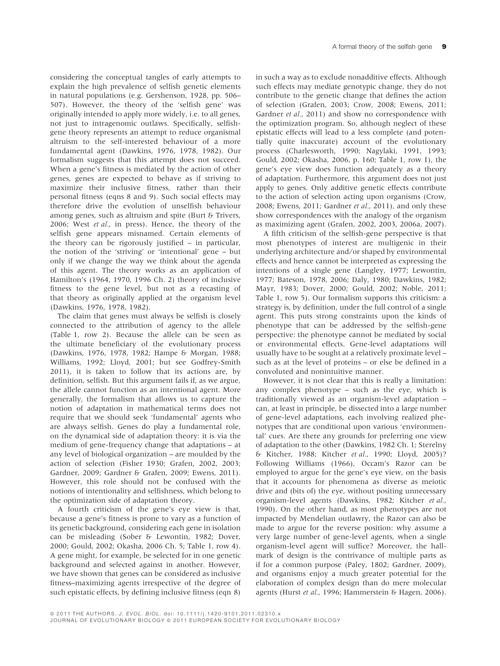considering the conceptual tangles of early attempts to explain the high prevalence of selfish genetic elements in natural populations (e.g. Gershenson, 1928, pp. 506– 507). However, the theory of the 'selfish gene' was originally intended to apply more widely, i.e. to all genes, not just to intragenomic outlaws. Specifically, selfishgene theory represents an attempt to reduce organismal altruism to the self-interested behaviour of a more fundamental agent (Dawkins, 1976, 1978, 1982). Our formalism suggests that this attempt does not succeed. When a gene's fitness is mediated by the action of other genes, genes are expected to behave as if striving to maximize their inclusive fitness, rather than their personal fitness (eqns 8 and 9). Such social effects may therefore drive the evolution of unselfish behaviour among genes, such as altruism and spite (Burt & Trivers, 2006; West et al., in press). Hence, the theory of the selfish gene appears misnamed. Certain elements of the theory can be rigorously justified – in particular, the notion of the 'striving' or 'intentional' gene – but only if we change the way we think about the agenda of this agent. The theory works as an application of Hamilton's (1964, 1970, 1996 Ch. 2) theory of inclusive fitness to the gene level, but not as a recasting of that theory as originally applied at the organism level (Dawkins, 1976, 1978, 1982).

The claim that genes must always be selfish is closely connected to the attribution of agency to the allele (Table 1, row 2). Because the allele can be seen as the ultimate beneficiary of the evolutionary process (Dawkins, 1976, 1978, 1982; Hampe & Morgan, 1988; Williams, 1992; Lloyd, 2001; but see Godfrey-Smith 2011), it is taken to follow that its actions are, by definition, selfish. But this argument fails if, as we argue, the allele cannot function as an intentional agent. More generally, the formalism that allows us to capture the notion of adaptation in mathematical terms does not require that we should seek 'fundamental' agents who are always selfish. Genes do play a fundamental role, on the dynamical side of adaptation theory: it is via the medium of gene-frequency change that adaptations – at any level of biological organization – are moulded by the action of selection (Fisher 1930; Grafen, 2002, 2003; Gardner, 2009; Gardner & Grafen, 2009; Ewens, 2011). However, this role should not be confused with the notions of intentionality and selfishness, which belong to the optimization side of adaptation theory.

A fourth criticism of the gene's eye view is that, because a gene's fitness is prone to vary as a function of its genetic background, considering each gene in isolation can be misleading (Sober & Lewontin, 1982; Dover, 2000; Gould, 2002; Okasha, 2006 Ch. 5; Table 1, row 4). A gene might, for example, be selected for in one genetic background and selected against in another. However, we have shown that genes can be considered as inclusive fitness–maximizing agents irrespective of the degree of such epistatic effects, by defining inclusive fitness (eqn 8) in such a way as to exclude nonadditive effects. Although such effects may mediate genotypic change, they do not contribute to the genetic change that defines the action of selection (Grafen, 2003; Crow, 2008; Ewens, 2011; Gardner et al., 2011) and show no correspondence with the optimization program. So, although neglect of these epistatic effects will lead to a less complete (and potentially quite inaccurate) account of the evolutionary process (Charlesworth, 1990; Nagylaki, 1991, 1993; Gould, 2002; Okasha, 2006, p. 160; Table 1, row 1), the gene's eye view does function adequately as a theory of adaptation. Furthermore, this argument does not just apply to genes. Only additive genetic effects contribute to the action of selection acting upon organisms (Crow, 2008; Ewens, 2011; Gardner et al., 2011), and only these show correspondences with the analogy of the organism as maximizing agent (Grafen, 2002, 2003, 2006a, 2007).

A fifth criticism of the selfish-gene perspective is that most phenotypes of interest are multigenic in their underlying architecture and/or shaped by environmental effects and hence cannot be interpreted as expressing the intentions of a single gene (Langley, 1977; Lewontin, 1977; Bateson, 1978, 2006; Daly, 1980; Dawkins, 1982; Mayr, 1983; Dover, 2000; Gould, 2002; Noble, 2011; Table 1, row 5). Our formalism supports this criticism: a strategy is, by definition, under the full control of a single agent. This puts strong constraints upon the kinds of phenotype that can be addressed by the selfish-gene perspective: the phenotype cannot be mediated by social or environmental effects. Gene-level adaptations will usually have to be sought at a relatively proximate level – such as at the level of proteins – or else be defined in a convoluted and nonintuitive manner.

However, it is not clear that this is really a limitation: any complex phenotype – such as the eye, which is traditionally viewed as an organism-level adaptation – can, at least in principle, be dissected into a large number of gene-level adaptations, each involving realized phenotypes that are conditional upon various 'environmental' cues. Are there any grounds for preferring one view of adaptation to the other (Dawkins, 1982 Ch. 1; Sterelny & Kitcher, 1988; Kitcher et al., 1990; Lloyd, 2005)? Following Williams (1966), Occam's Razor can be employed to argue for the gene's eye view, on the basis that it accounts for phenomena as diverse as meiotic drive and (bits of) the eye, without positing unnecessary organism-level agents (Dawkins, 1982; Kitcher et al., 1990). On the other hand, as most phenotypes are not impacted by Mendelian outlawry, the Razor can also be made to argue for the reverse position: why assume a very large number of gene-level agents, when a single organism-level agent will suffice? Moreover, the hallmark of design is the contrivance of multiple parts as if for a common purpose (Paley, 1802; Gardner, 2009), and organisms enjoy a much greater potential for the elaboration of complex design than do mere molecular agents (Hurst et al., 1996; Hammerstein & Hagen, 2006).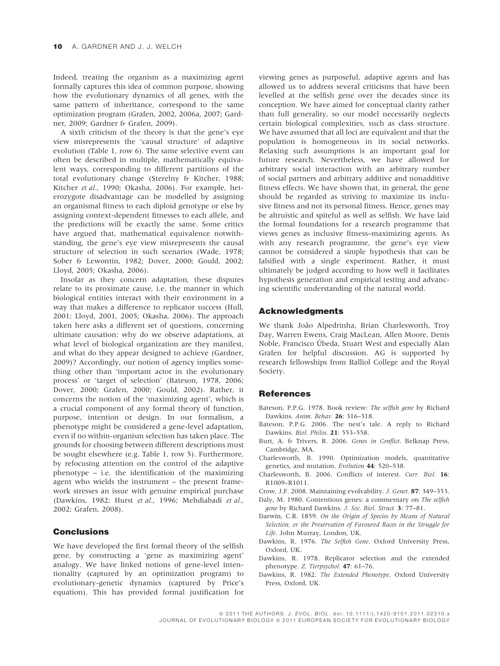Indeed, treating the organism as a maximizing agent formally captures this idea of common purpose, showing how the evolutionary dynamics of all genes, with the same pattern of inheritance, correspond to the same optimization program (Grafen, 2002, 2006a, 2007; Gardner, 2009; Gardner & Grafen, 2009).

A sixth criticism of the theory is that the gene's eye view misrepresents the 'causal structure' of adaptive evolution (Table 1, row 6). The same selective event can often be described in multiple, mathematically equivalent ways, corresponding to different partitions of the total evolutionary change (Sterelny & Kitcher, 1988; Kitcher et al., 1990; Okasha, 2006). For example, heterozygote disadvantage can be modelled by assigning an organismal fitness to each diploid genotype or else by assigning context-dependent fitnesses to each allele, and the predictions will be exactly the same. Some critics have argued that, mathematical equivalence notwithstanding, the gene's eye view misrepresents the causal structure of selection in such scenarios (Wade, 1978; Sober & Lewontin, 1982; Dover, 2000; Gould, 2002; Lloyd, 2005; Okasha, 2006).

Insofar as they concern adaptation, these disputes relate to its proximate cause, i.e. the manner in which biological entities interact with their environment in a way that makes a difference to replicator success (Hull, 2001; Lloyd, 2001, 2005; Okasha, 2006). The approach taken here asks a different set of questions, concerning ultimate causation: why do we observe adaptations, at what level of biological organization are they manifest, and what do they appear designed to achieve (Gardner, 2009)? Accordingly, our notion of agency implies something other than 'important actor in the evolutionary process' or 'target of selection' (Bateson, 1978, 2006; Dover, 2000; Grafen, 2000; Gould, 2002). Rather, it concerns the notion of the 'maximizing agent', which is a crucial component of any formal theory of function, purpose, intention or design. In our formalism, a phenotype might be considered a gene-level adaptation, even if no within-organism selection has taken place. The grounds for choosing between different descriptions must be sought elsewhere (e.g. Table 1, row 5). Furthermore, by refocusing attention on the control of the adaptive phenotype – i.e. the identification of the maximizing agent who wields the instrument – the present framework stresses an issue with genuine empirical purchase (Dawkins, 1982; Hurst et al., 1996; Mehdiabadi et al., 2002; Grafen, 2008).

## Conclusions

We have developed the first formal theory of the selfish gene, by constructing a 'gene as maximizing agent' analogy. We have linked notions of gene-level intentionality (captured by an optimization program) to evolutionary-genetic dynamics (captured by Price's equation). This has provided formal justification for viewing genes as purposeful, adaptive agents and has allowed us to address several criticisms that have been levelled at the selfish gene over the decades since its conception. We have aimed for conceptual clarity rather than full generality, so our model necessarily neglects certain biological complexities, such as class structure. We have assumed that all loci are equivalent and that the population is homogeneous in its social networks. Relaxing such assumptions is an important goal for future research. Nevertheless, we have allowed for arbitrary social interaction with an arbitrary number of social partners and arbitrary additive and nonadditive fitness effects. We have shown that, in general, the gene should be regarded as striving to maximize its inclusive fitness and not its personal fitness. Hence, genes may be altruistic and spiteful as well as selfish. We have laid the formal foundations for a research programme that views genes as inclusive fitness–maximizing agents. As with any research programme, the gene's eye view cannot be considered a simple hypothesis that can be falsified with a single experiment. Rather, it must ultimately be judged according to how well it facilitates hypothesis generation and empirical testing and advancing scientific understanding of the natural world.

## Acknowledgments

We thank João Alpedrinha, Brian Charlesworth, Troy Day, Warren Ewens, Craig MacLean, Allen Moore, Denis Noble, Francisco Úbeda, Stuart West and especially Alan Grafen for helpful discussion. AG is supported by research fellowships from Balliol College and the Royal Society.

## References

- Bateson, P.P.G. 1978. Book review: The selfish gene by Richard Dawkins. Anim. Behav. 26: 316–318.
- Bateson, P.P.G. 2006. The nest's tale. A reply to Richard Dawkins. Biol. Philos. 21: 553–558.
- Burt, A. & Trivers, R. 2006. Genes in Conflict. Belknap Press, Cambridge, MA.
- Charlesworth, B. 1990. Optimization models, quantitative genetics, and mutation. Evolution 44: 520–538.
- Charlesworth, B. 2006. Conflicts of interest. Curr. Biol. 16: R1009–R1011.
- Crow, J.F. 2008. Maintaining evolvability. J. Genet. 87: 349–353.
- Daly, M. 1980. Contentious genes: a commentary on The selfish gene by Richard Dawkins. J. Soc. Biol. Struct. 3: 77–81.
- Darwin, C.R. 1859. On the Origin of Species by Means of Natural Selection, or the Preservation of Favoured Races in the Struggle for Life. John Murray, London, UK.
- Dawkins, R. 1976. The Selfish Gene. Oxford University Press, Oxford, UK.
- Dawkins, R. 1978. Replicator selection and the extended phenotype. Z. Tierpsychol. 47: 61–76.
- Dawkins, R. 1982. The Extended Phenotype. Oxford University Press, Oxford, UK.

ª 2011 THE AUTHORS. J. EVOL. BIOL. doi: 10.1111/j.1420-9101.2011.02310.x JOURNAL OF EVOLUTIONARY BIOLOGY ª 2011 EUROPEAN SOCIETY FOR EVOLUTIONARY BIOLOGY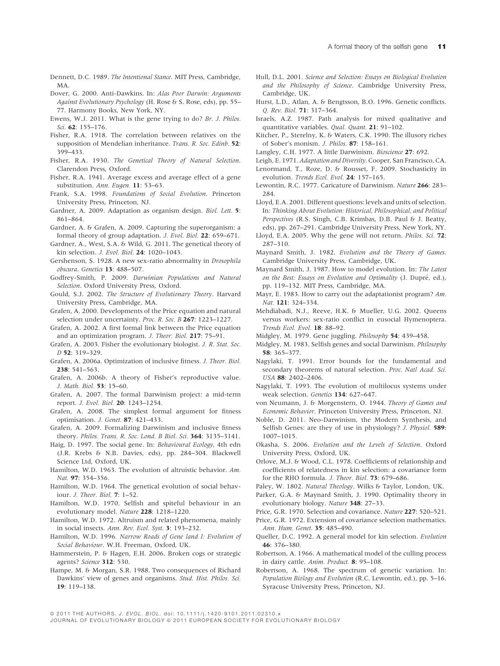- Dennett, D.C. 1989. The Intentional Stance. MIT Press, Cambridge, MA.
- Dover, G. 2000. Anti-Dawkins. In: Alas Poor Darwin: Arguments Against Evolutionary Psychology (H. Rose & S. Rose, eds), pp. 55– 77. Harmony Books, New York, NY.
- Ewens, W.J. 2011. What is the gene trying to do? Br. J. Philos. Sci. 62: 155–176.
- Fisher, R.A. 1918. The correlation between relatives on the supposition of Mendelian inheritance. Trans. R. Soc. Edinb. 52: 399–433.
- Fisher, R.A. 1930. The Genetical Theory of Natural Selection. Clarendon Press, Oxford.
- Fisher, R.A. 1941. Average excess and average effect of a gene substitution. Ann. Eugen. 11: 53-63.
- Frank, S.A. 1998. Foundations of Social Evolution. Princeton University Press, Princeton, NJ.
- Gardner, A. 2009. Adaptation as organism design. Biol. Lett. 5: 861–864.
- Gardner, A. & Grafen, A. 2009. Capturing the superorganism: a formal theory of group adaptation. J. Evol. Biol. 22: 659–671.
- Gardner, A., West, S.A. & Wild, G. 2011. The genetical theory of kin selection. J. Evol. Biol. 24: 1020–1043.
- Gershenson, S. 1928. A new sex-ratio abnormality in Drosophila obscura. Genetics 13: 488–507.
- Godfrey-Smith, P. 2009. Darwinian Populations and Natural Selection. Oxford University Press, Oxford.
- Gould, S.J. 2002. The Structure of Evolutionary Theory. Harvard University Press, Cambridge, MA.
- Grafen, A. 2000. Developments of the Price equation and natural selection under uncertainty. Proc. R. Soc. B 267: 1223-1227.
- Grafen, A. 2002. A first formal link between the Price equation and an optimization program. J. Theor. Biol. 217: 75–91.
- Grafen, A. 2003. Fisher the evolutionary biologist. J. R. Stat. Soc. D 52: 319–329.
- Grafen, A. 2006a. Optimization of inclusive fitness. J. Theor. Biol. 238: 541–563.
- Grafen, A. 2006b. A theory of Fisher's reproductive value. J. Math. Biol. 53: 15–60.
- Grafen, A. 2007. The formal Darwinism project: a mid-term report. J. Evol. Biol. 20: 1243–1254.
- Grafen, A. 2008. The simplest formal argument for fitness optimisation. J. Genet. 87: 421–433.
- Grafen, A. 2009. Formalizing Darwinism and inclusive fitness theory. Philos. Trans. R. Soc. Lond. B Biol. Sci. 364: 3135-3141.
- Haig, D. 1997. The social gene. In: Behavioural Ecology, 4th edn (J.R. Krebs & N.B. Davies, eds), pp. 284–304. Blackwell Science Ltd, Oxford, UK.
- Hamilton, W.D. 1963. The evolution of altruistic behavior. Am. Nat. 97: 354–356.
- Hamilton, W.D. 1964. The genetical evolution of social behaviour. J. Theor. Biol. 7: 1–52.
- Hamilton, W.D. 1970. Selfish and spiteful behaviour in an evolutionary model. Nature 228: 1218–1220.
- Hamilton, W.D. 1972. Altruism and related phenomena, mainly in social insects. Ann. Rev. Ecol. Syst. 3: 193–232.
- Hamilton, W.D. 1996. Narrow Roads of Gene land I: Evolution of Social Behaviour. W.H. Freeman, Oxford, UK.
- Hammerstein, P. & Hagen, E.H. 2006. Broken cogs or strategic agents? Science 312: 530.
- Hampe, M. & Morgan, S.R. 1988. Two consequences of Richard Dawkins' view of genes and organisms. Stud. Hist. Philos. Sci. 19: 119–138.
- Hull, D.L. 2001. Science and Selection: Essays on Biological Evolution and the Philosophy of Science. Cambridge University Press, Cambridge, UK.
- Hurst, L.D., Atlan, A. & Bengtsson, B.O. 1996. Genetic conflicts. Q. Rev. Biol. 71: 317–364.
- Israels, A.Z. 1987. Path analysis for mixed qualitative and quantitative variables. Qual. Quant. 21: 91-102.
- Kitcher, P., Sterelny, K. & Waters, C.K. 1990. The illusory riches of Sober's monism. J. Philos. 87: 158–161.
- Langley, C.H. 1977. A little Darwinism. Bioscience 27: 692.
- Leigh, E. 1971. Adaptation and Diversity. Cooper, San Francisco, CA.
- Lenormand, T., Roze, D. & Rousset, F. 2009. Stochasticity in evolution. Trends Ecol. Evol. 24: 157–165.
- Lewontin, R.C. 1977. Caricature of Darwinism. Nature 266: 283– 284.
- Lloyd, E.A. 2001. Different questions: levels and units of selection. In: Thinking About Evolution: Historical, Philosophical, and Political Perspectives (R.S. Singh, C.B. Krimbas, D.B. Paul & J. Beatty, eds), pp. 267–291. Cambridge University Press, New York, NY.
- Lloyd, E.A. 2005. Why the gene will not return. Philos. Sci. 72: 287–310.
- Maynard Smith, J. 1982. Evolution and the Theory of Games. Cambridge University Press, Cambridge, UK.
- Maynard Smith, J. 1987. How to model evolution. In: The Latest on the Best: Essays on Evolution and Optimality (J. Dupré, ed.), pp. 119–132. MIT Press, Cambridge, MA.
- Mayr, E. 1983. How to carry out the adaptationist program? Am. Nat. 121: 324–334.
- Mehdiabadi, N.J., Reeve, H.K. & Mueller, U.G. 2002. Queens versus workers: sex-ratio conflict in eusocial Hymenoptera. Trends Ecol. Evol. 18: 88–92.
- Midgley, M. 1979. Gene juggling. Philosophy 54: 439–458.
- Midgley, M. 1983. Selfish genes and social Darwinism. Philosophy 58: 365–377.
- Nagylaki, T. 1991. Error bounds for the fundamental and secondary theorems of natural selection. Proc. Natl Acad. Sci. USA 88: 2402–2406.
- Nagylaki, T. 1993. The evolution of multilocus systems under weak selection. Genetics 134: 627–647.
- von Neumann, J. & Morgenstern, O. 1944. Theory of Games and Economic Behavior. Princeton University Press, Princeton, NJ.
- Noble, D. 2011. Neo-Darwinism, the Modern Synthesis, and Selfish Genes: are they of use in physiology? J. Physiol. **589**: 1007–1015.
- Okasha, S. 2006. Evolution and the Levels of Selection. Oxford University Press, Oxford, UK.
- Orlove, M.J. & Wood, C.L. 1978. Coefficients of relationship and coefficients of relatedness in kin selection: a covariance form for the RHO formula. J. Theor. Biol. 73: 679–686.
- Paley, W. 1802. Natural Theology. Wilks & Taylor, London, UK.
- Parker, G.A. & Maynard Smith, J. 1990. Optimality theory in evolutionary biology. Nature 348: 27–33.
- Price, G.R. 1970. Selection and covariance. Nature 227: 520–521.
- Price, G.R. 1972. Extension of covariance selection mathematics. Ann. Hum. Genet. 35: 485–490.
- Queller, D.C. 1992. A general model for kin selection. Evolution 46: 376–380.
- Robertson, A. 1966. A mathematical model of the culling process in dairy cattle. Anim. Product. 8: 95–108.
- Robertson, A. 1968. The spectrum of genetic variation. In: Population Biology and Evolution (R.C. Lewontin, ed.), pp. 5–16. Syracuse University Press, Princeton, NJ.

ª 2011 THE AUTHORS. J. EVOL. BIOL. doi: 10.1111/j.1420-9101.2011.02310.x

JOURNAL OF EVOLUTIONARY BIOLOGY @ 2011 EUROPEAN SOCIETY FOR EVOLUTIONARY BIOLOGY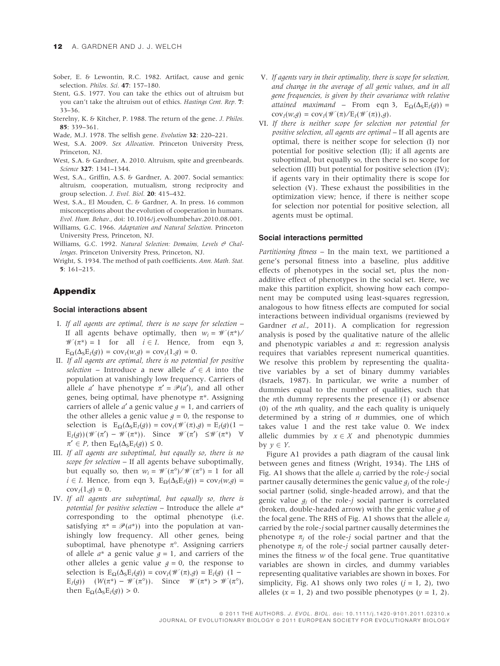- Sober, E. & Lewontin, R.C. 1982. Artifact, cause and genic selection. Philos. Sci. 47: 157–180.
- Stent, G.S. 1977. You can take the ethics out of altruism but you can't take the altruism out of ethics. Hastings Cent. Rep. 7: 33–36.
- Sterelny, K. & Kitcher, P. 1988. The return of the gene. J. Philos. 85: 339–361.
- Wade, M.J. 1978. The selfish gene. Evolution 32: 220–221.
- West, S.A. 2009. Sex Allocation. Princeton University Press, Princeton, NJ.
- West, S.A. & Gardner, A. 2010. Altruism, spite and greenbeards. Science 327: 1341–1344.
- West, S.A., Griffin, A.S. & Gardner, A. 2007. Social semantics: altruism, cooperation, mutualism, strong reciprocity and group selection. J. Evol. Biol. 20: 415–432.
- West, S.A., El Mouden, C. & Gardner, A. In press. 16 common misconceptions about the evolution of cooperation in humans. Evol. Hum. Behav., doi: 10.1016/j.evolhumbehav.2010.08.001.
- Williams, G.C. 1966. Adaptation and Natural Selection. Princeton University Press, Princeton, NJ.
- Williams, G.C. 1992. Natural Selection: Domains, Levels  $\mathcal{O}$  Challenges. Princeton University Press, Princeton, NJ.
- Wright, S. 1934. The method of path coefficients. Ann. Math. Stat. 5: 161–215.

## Appendix

#### Social interactions absent

- I. If all agents are optimal, there is no scope for selection  $-$ If all agents behave optimally, then  $w_i = \mathcal{W}(\pi^*)/$  $\mathcal{W}(\pi^*) = 1$  for all  $i \in I$ . Hence, from eqn 3,  $E_{\Omega}(\Delta_S E_I(g)) = \text{cov}_I(w,g) = \text{cov}_I(1,g) = 0.$
- II. If all agents are optimal, there is no potential for positive selection – Introduce a new allele  $a' \in A$  into the population at vanishingly low frequency. Carriers of allele *a'* have phenotype  $\pi' = \mathcal{P}(a')$ , and all other genes, being optimal, have phenotype  $\pi^*$ . Assigning carriers of allele  $a'$  a genic value  $g = 1$ , and carriers of the other alleles a genic value  $g = 0$ , the response to selection is  $E_{\Omega}(\Delta_{S}E_{I}(g)) = cov_{I}(\mathcal{W}(\pi), g) = E_{I}(g)(1 E_{I}(g)(\mathscr{W}(\pi') - \mathscr{W}(\pi^*))$ . Since  $\mathscr{W}(\pi') \leq \mathscr{W}(\pi^*) \forall$  $\pi' \in P$ , then  $E_{\Omega}(\Delta_S E_I(g)) \leq 0$ .
- III. If all agents are suboptimal, but equally so, there is no scope for selection – If all agents behave suboptimally, but equally so, then  $w_i = \mathcal{W}(\pi^{\circ}) / \mathcal{W}(\pi^{\circ}) = 1$  for all  $i \in I$ . Hence, from eqn 3,  $E_{\Omega}(\Delta_{S}E_{I}(g)) = \text{cov}_{I}(w,g)$  =  $cov_I(1,g) = 0.$
- IV. If all agents are suboptimal, but equally so, there is potential for positive selection – Introduce the allele  $a^*$ corresponding to the optimal phenotype (i.e. satisfying  $\pi^* = \mathcal{P}(a^*)$  into the population at vanishingly low frequency. All other genes, being suboptimal, have phenotype  $\pi$ °. Assigning carriers of allele  $a^*$  a genic value  $g = 1$ , and carriers of the other alleles a genic value  $g = 0$ , the response to selection is  $E_{\Omega}(\Delta_{S}E_{I}(g)) = cov_{I}(\mathcal{W}(\pi), g) = E_{I}(g)$  (1 –  $E_I(g)$ )  $(W(\pi^*) - W(\pi^{\circ}))$ . Since  $W(\pi^*) > W(\pi^{\circ})$ , then  $E_{\Omega}(\Delta_{S}E_{I}(g)) > 0$ .
- V. If agents vary in their optimality, there is scope for selection, and change in the average of all genic values, and in all gene frequencies, is given by their covariance with relative attained maximand – From eqn 3,  $E_{\Omega}(\Delta_{S}E_{I}(q))$  =  $cov_I(w,g) = cov_I(\mathcal{W}(\pi)/E_I(\mathcal{W}(\pi)),g).$
- VI. If there is neither scope for selection nor potential for positive selection, all agents are optimal – If all agents are optimal, there is neither scope for selection (I) nor potential for positive selection (II); if all agents are suboptimal, but equally so, then there is no scope for selection (III) but potential for positive selection (IV); if agents vary in their optimality there is scope for selection (V). These exhaust the possibilities in the optimization view; hence, if there is neither scope for selection nor potential for positive selection, all agents must be optimal.

## Social interactions permitted

Partitioning fitness - In the main text, we partitioned a gene's personal fitness into a baseline, plus additive effects of phenotypes in the social set, plus the nonadditive effect of phenotypes in the social set. Here, we make this partition explicit, showing how each component may be computed using least-squares regression, analogous to how fitness effects are computed for social interactions between individual organisms (reviewed by Gardner et al., 2011). A complication for regression analysis is posed by the qualitative nature of the allelic and phenotypic variables  $a$  and  $\pi$ : regression analysis requires that variables represent numerical quantities. We resolve this problem by representing the qualitative variables by a set of binary dummy variables (Israels, 1987). In particular, we write a number of dummies equal to the number of qualities, such that the nth dummy represents the presence (1) or absence (0) of the *n*th quality, and the each quality is uniquely determined by a string of  $n$  dummies, one of which takes value 1 and the rest take value 0. We index allelic dummies by  $x \in X$  and phenotypic dummies by  $y \in Y$ .

Figure A1 provides a path diagram of the causal link between genes and fitness (Wright, 1934). The LHS of Fig. A1 shows that the allele  $a_i$  carried by the role-j social partner causally determines the genic value  $g_i$  of the role-j social partner (solid, single-headed arrow), and that the genic value  $g_i$  of the role-j social partner is correlated (broken, double-headed arrow) with the genic value  $g$  of the focal gene. The RHS of Fig. A1 shows that the allele  $a_i$ carried by the role-j social partner causally determines the phenotype  $\pi_i$  of the role-*j* social partner and that the phenotype  $\pi_i$  of the role-*j* social partner causally determines the fitness  $w$  of the focal gene. True quantitative variables are shown in circles, and dummy variables representing qualitative variables are shown in boxes. For simplicity, Fig. A1 shows only two roles  $(j = 1, 2)$ , two alleles  $(x = 1, 2)$  and two possible phenotypes  $(y = 1, 2)$ .

ª 2011 THE AUTHORS. J. EVOL. BIOL. doi: 10.1111/j.1420-9101.2011.02310.x JOURNAL OF EVOLUTIONARY BIOLOGY ª 2011 EUROPEAN SOCIETY FOR EVOLUTIONARY BIOLOGY